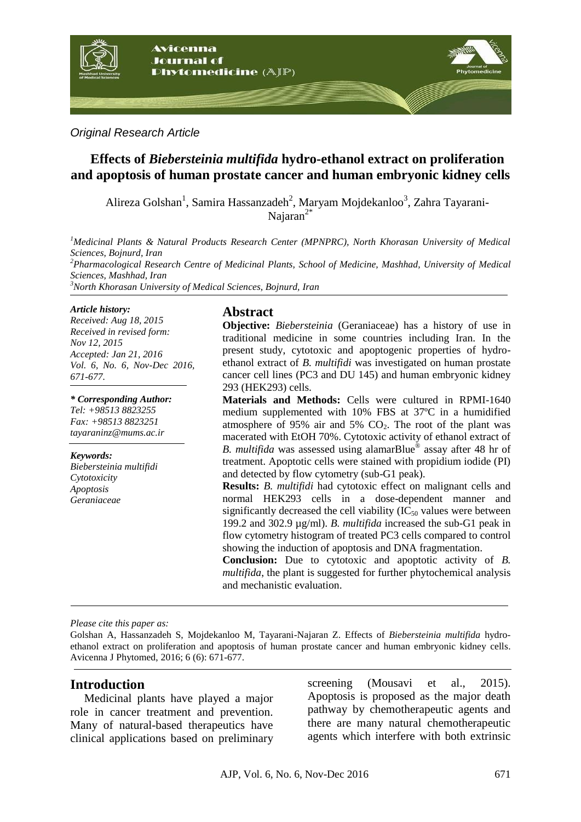

*Original Research Article*

# **Effects of** *Biebersteinia multifida* **hydro-ethanol extract on proliferation and apoptosis of human prostate cancer and human embryonic kidney cells**

Alireza Golshan<sup>1</sup>, Samira Hassanzadeh<sup>2</sup>, Maryam Mojdekanloo<sup>3</sup>, Zahra Tayarani-Najaran $2*$ 

*<sup>1</sup>Medicinal Plants & Natural Products Research Center (MPNPRC), North Khorasan University of Medical Sciences, Bojnurd, Iran <sup>2</sup>Pharmacological Research Centre of Medicinal Plants, School of Medicine, Mashhad, University of Medical Sciences, Mashhad, Iran <sup>3</sup>North Khorasan University of Medical Sciences, Bojnurd, Iran*

#### *Article history:*

*Received: Aug 18, 2015 Received in revised form: Nov 12, 2015 Accepted: Jan 21, 2016 Vol. 6, No. 6, Nov-Dec 2016, 671-677.*

#### *\* Corresponding Author:*

*Tel: +98513 8823255 Fax: +98513 8823251 tayaraninz@mums.ac.ir*

#### *Keywords:*

*Biebersteinia multifidi Cytotoxicity Apoptosis Geraniaceae*

## **Abstract**

**Objective:** *Biebersteinia* (Geraniaceae) has a history of use in traditional medicine in some countries including Iran. In the present study, cytotoxic and apoptogenic properties of hydroethanol extract of *B. multifidi* was investigated on human prostate cancer cell lines (PC3 and DU 145) and human embryonic kidney 293 (HEK293) cells.

**Materials and Methods:** Cells were cultured in RPMI-1640 medium supplemented with 10% FBS at 37ºC in a humidified atmosphere of  $95\%$  air and  $5\%$  CO<sub>2</sub>. The root of the plant was macerated with EtOH 70%. Cytotoxic activity of ethanol extract of *B. multifida* was assessed using alamarBlue® assay after 48 hr of treatment. Apoptotic cells were stained with propidium iodide (PI) and detected by flow cytometry (sub-G1 peak).

**Results:** *B. multifidi* had cytotoxic effect on malignant cells and normal HEK293 cells in a dose-dependent manner and significantly decreased the cell viability  $(IC_{50}$  values were between 199.2 and 302.9 µg/ml). *B. multifida* increased the sub-G1 peak in flow cytometry histogram of treated PC3 cells compared to control showing the induction of apoptosis and DNA fragmentation.

**Conclusion:** Due to cytotoxic and apoptotic activity of *B. multifida*, the plant is suggested for further phytochemical analysis and mechanistic evaluation.

#### *Please cite this paper as:*

Golshan A, Hassanzadeh S, Mojdekanloo M, Tayarani-Najaran Z. Effects of *Biebersteinia multifida* hydroethanol extract on proliferation and apoptosis of human prostate cancer and human embryonic kidney cells. Avicenna J Phytomed, 2016; 6 (6): 671-677.

#### **Introduction**

Medicinal plants have played a major role in cancer treatment and prevention. Many of natural-based therapeutics have clinical applications based on preliminary screening (Mousavi et al., 2015). Apoptosis is proposed as the major death pathway by chemotherapeutic agents and there are many natural chemotherapeutic agents which interfere with both extrinsic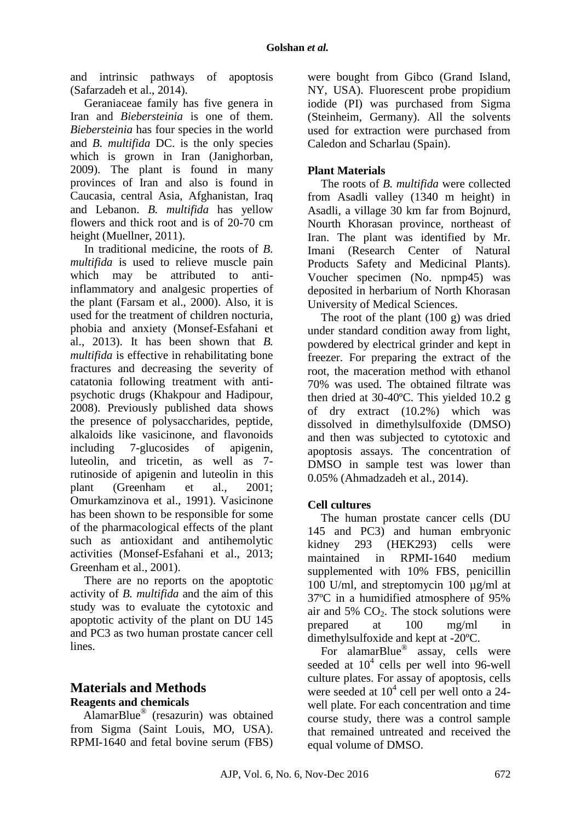and intrinsic pathways of apoptosis (Safarzadeh et al., 2014).

Geraniaceae family has five genera in Iran and *Biebersteinia* is one of them. *Biebersteinia* has four species in the world and *B. multifida* DC. is the only species which is grown in Iran (Janighorban, 2009). The plant is found in many provinces of Iran and also is found in Caucasia, central Asia, Afghanistan, Iraq and Lebanon. *B. multifida* has yellow flowers and thick root and is of 20-70 cm height (Muellner, 2011).

In traditional medicine, the roots of *B. multifida* is used to relieve muscle pain which may be attributed to antiinflammatory and analgesic properties of the plant (Farsam et al., 2000). Also, it is used for the treatment of children nocturia, phobia and anxiety (Monsef-Esfahani et al., 2013). It has been shown that *B. multifida* is effective in rehabilitating bone fractures and decreasing the severity of catatonia following treatment with antipsychotic drugs (Khakpour and Hadipour, 2008). Previously published data shows the presence of polysaccharides, peptide, alkaloids like vasicinone, and flavonoids including 7-glucosides of apigenin, luteolin, and tricetin, as well as 7 rutinoside of apigenin and luteolin in this plant (Greenham et al., 2001; Omurkamzinova et al., 1991). Vasicinone has been shown to be responsible for some of the pharmacological effects of the plant such as antioxidant and antihemolytic activities (Monsef-Esfahani et al., 2013; Greenham et al., 2001).

There are no reports on the apoptotic activity of *B. multifida* and the aim of this study was to evaluate the cytotoxic and apoptotic activity of the plant on DU 145 and PC3 as two human prostate cancer cell lines.

#### **Materials and Methods Reagents and chemicals**

AlamarBlue® (resazurin) was obtained from Sigma (Saint Louis, MO, USA). RPMI-1640 and fetal bovine serum (FBS) were bought from Gibco (Grand Island, NY, USA). Fluorescent probe propidium iodide (PI) was purchased from Sigma (Steinheim, Germany). All the solvents used for extraction were purchased from Caledon and Scharlau (Spain).

## **Plant Materials**

The roots of *B. multifida* were collected from Asadli valley (1340 m height) in Asadli, a village 30 km far from Bojnurd, Nourth Khorasan province, northeast of Iran. The plant was identified by Mr. Imani (Research Center of Natural Products Safety and Medicinal Plants). Voucher specimen (No. npmp45) was deposited in herbarium of North Khorasan University of Medical Sciences.

The root of the plant (100 g) was dried under standard condition away from light, powdered by electrical grinder and kept in freezer. For preparing the extract of the root, the maceration method with ethanol 70% was used. The obtained filtrate was then dried at 30-40ºC. This yielded 10.2 g of dry extract (10.2%) which was dissolved in dimethylsulfoxide (DMSO) and then was subjected to cytotoxic and apoptosis assays. The concentration of DMSO in sample test was lower than 0.05% (Ahmadzadeh et al., 2014).

## **Cell cultures**

The human prostate cancer cells (DU 145 and PC3) and human embryonic kidney 293 (HEK293) cells were maintained in RPMI-1640 medium supplemented with 10% FBS, penicillin 100 U/ml, and streptomycin 100 µg/ml at 37ºC in a humidified atmosphere of 95% air and  $5\%$  CO<sub>2</sub>. The stock solutions were prepared at 100 mg/ml in dimethylsulfoxide and kept at -20ºC.

For alamarBlue® assay, cells were seeded at  $10<sup>4</sup>$  cells per well into 96-well culture plates. For assay of apoptosis, cells were seeded at  $10^4$  cell per well onto a 24well plate. For each concentration and time course study, there was a control sample that remained untreated and received the equal volume of DMSO.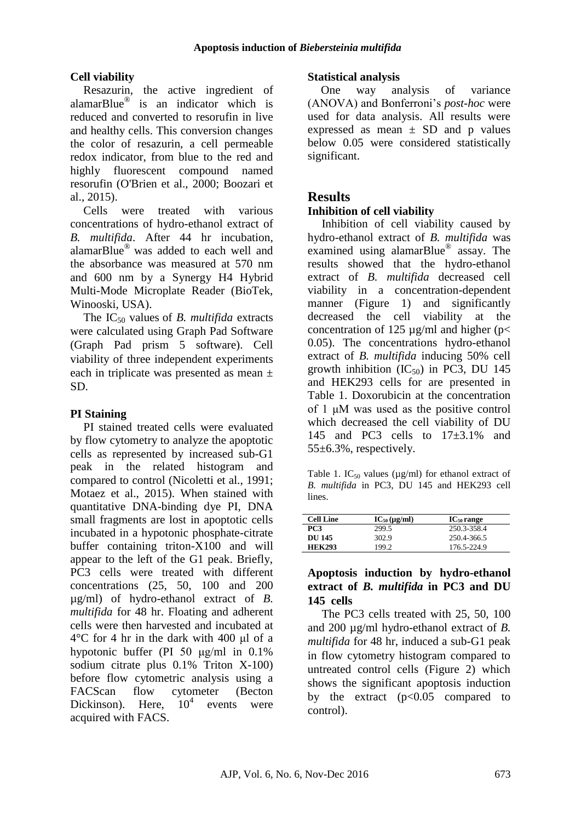## **Cell viability**

Resazurin, the active ingredient of alamarBlue® is an indicator which is reduced and converted to resorufin in live and healthy cells. This conversion changes the color of resazurin, a cell permeable redox indicator, from blue to the red and highly fluorescent compound named resorufin (O'Brien et al., 2000; Boozari et al., 2015).

Cells were treated with various concentrations of hydro-ethanol extract of *B. multifida*. After 44 hr incubation, alamarBlue® was added to each well and the absorbance was measured at 570 nm and 600 nm by a Synergy H4 Hybrid Multi-Mode Microplate Reader (BioTek, Winooski, USA).

The  $IC_{50}$  values of *B. multifida* extracts were calculated using Graph Pad Software (Graph Pad prism 5 software). Cell viability of three independent experiments each in triplicate was presented as mean ± SD.

## **PI Staining**

PI stained treated cells were evaluated by flow cytometry to analyze the apoptotic cells as represented by increased sub-G1 peak in the related histogram and compared to control (Nicoletti et al., 1991; Motaez et al., 2015). When stained with quantitative DNA-binding dye PI, DNA small fragments are lost in apoptotic cells incubated in a hypotonic phosphate-citrate buffer containing triton-X100 and will appear to the left of the G1 peak. Briefly, PC3 cells were treated with different concentrations (25, 50, 100 and 200 µg/ml) of hydro-ethanol extract of *B. multifida* for 48 hr. Floating and adherent cells were then harvested and incubated at 4°C for 4 hr in the dark with 400 μl of a hypotonic buffer (PI 50 μg/ml in 0.1% sodium citrate plus 0.1% Triton X-100) before flow cytometric analysis using a FACScan flow cytometer (Becton<br>Dickinson). Here, 10<sup>4</sup> events were Dickinson). Here, events were acquired with FACS.

## **Statistical analysis**

One way analysis of variance (ANOVA) and Bonferroni's *post-hoc* were used for data analysis. All results were expressed as mean  $\pm$  SD and p values below 0.05 were considered statistically significant.

# **Results**

#### **Inhibition of cell viability**

Inhibition of cell viability caused by hydro-ethanol extract of *B. multifida* was examined using alamarBlue® assay. The results showed that the hydro-ethanol extract of *B. multifida* decreased cell viability in a concentration-dependent manner (Figure 1) and significantly decreased the cell viability at the concentration of 125  $\mu$ g/ml and higher (p< 0.05). The concentrations hydro-ethanol extract of *B. multifida* inducing 50% cell growth inhibition  $(IC_{50})$  in PC3, DU 145 and HEK293 cells for are presented in Table 1. Doxorubicin at the concentration of 1 μM was used as the positive control which decreased the cell viability of DU 145 and PC3 cells to 17±3.1% and 55±6.3%, respectively.

Table 1. IC<sub>50</sub> values ( $\mu$ g/ml) for ethanol extract of *B. multifida* in PC3, DU 145 and HEK293 cell lines.

| <b>Cell Line</b> | $IC_{50}$ (µg/ml) | $IC_{50}$ range |
|------------------|-------------------|-----------------|
| PC3              | 299.5             | 250.3-358.4     |
| DU 145           | 302.9             | 2.50.4-366.5    |
| <b>HEK293</b>    | 199.2             | 176.5-224.9     |

## **Apoptosis induction by hydro-ethanol extract of** *B. multifida* **in PC3 and DU 145 cells**

The PC3 cells treated with 25, 50, 100 and 200 µg/ml hydro-ethanol extract of *B. multifida* for 48 hr, induced a sub-G1 peak in flow cytometry histogram compared to untreated control cells (Figure 2) which shows the significant apoptosis induction by the extract  $(p<0.05$  compared to control).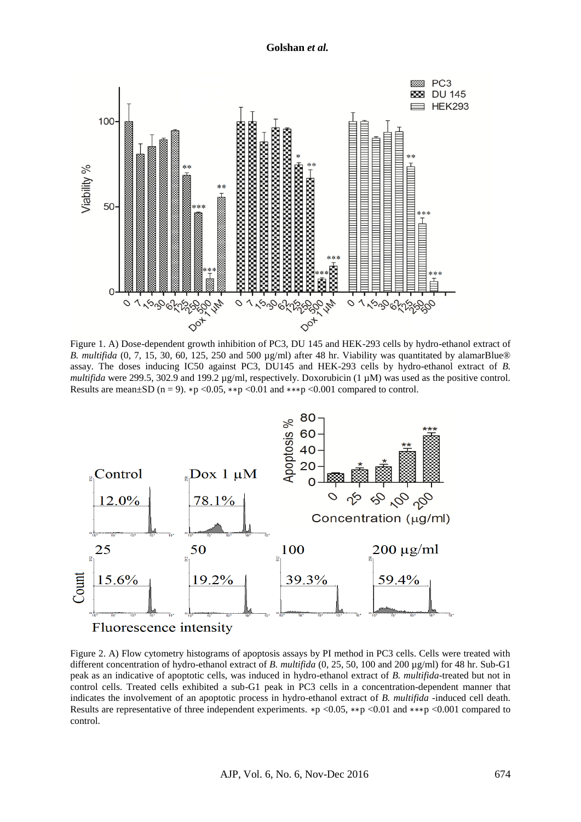

Figure 1. A) Dose-dependent growth inhibition of PC3, DU 145 and HEK-293 cells by hydro-ethanol extract of *B. multifida* (0, 7, 15, 30, 60, 125, 250 and 500 µg/ml) after 48 hr. Viability was quantitated by alamarBlue<sup>®</sup> assay. The doses inducing IC50 against PC3, DU145 and HEK-293 cells by hydro-ethanol extract of *B. multifida* were 299.5, 302.9 and 199.2 μg/ml, respectively. Doxorubicin (1 μM) was used as the positive control. Results are mean $\pm$ SD (n = 9). \*p <0.05, \*\*p <0.01 and \*\*\*p <0.001 compared to control.



Figure 2. A) Flow cytometry histograms of apoptosis assays by PI method in PC3 cells. Cells were treated with different concentration of hydro-ethanol extract of *B. multifida* (0, 25, 50, 100 and 200  $\mu$ g/ml) for 48 hr. Sub-G1 peak as an indicative of apoptotic cells, was induced in hydro-ethanol extract of *B. multifida*-treated but not in control cells. Treated cells exhibited a sub-G1 peak in PC3 cells in a concentration-dependent manner that indicates the involvement of an apoptotic process in hydro-ethanol extract of *B. multifida* -induced cell death. Results are representative of three independent experiments. ∗p <0.05, ∗∗p <0.01 and ∗∗∗p <0.001 compared to control.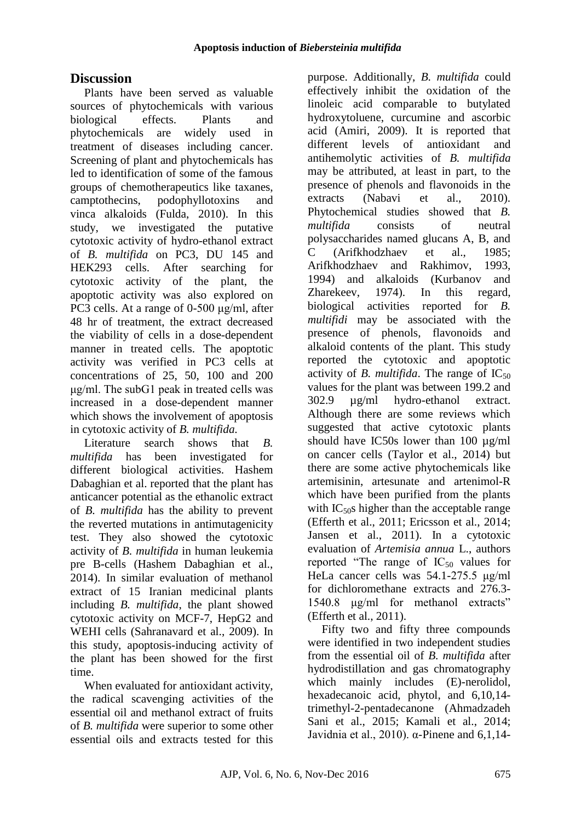# **Discussion**

Plants have been served as valuable sources of phytochemicals with various biological effects. Plants and phytochemicals are widely used in treatment of diseases including cancer. Screening of plant and phytochemicals has led to identification of some of the famous groups of chemotherapeutics like taxanes, camptothecins, podophyllotoxins and vinca alkaloids (Fulda, 2010). In this study, we investigated the putative cytotoxic activity of hydro-ethanol extract of *B. multifida* on PC3, DU 145 and HEK293 cells. After searching for cytotoxic activity of the plant, the apoptotic activity was also explored on PC3 cells. At a range of 0-500 μg/ml, after 48 hr of treatment, the extract decreased the viability of cells in a dose-dependent manner in treated cells. The apoptotic activity was verified in PC3 cells at concentrations of 25, 50, 100 and 200 μg/ml. The subG1 peak in treated cells was increased in a dose-dependent manner which shows the involvement of apoptosis in cytotoxic activity of *B. multifida.* 

Literature search shows that *B. multifida* has been investigated for different biological activities. Hashem Dabaghian et al. reported that the plant has anticancer potential as the ethanolic extract of *B. multifida* has the ability to prevent the reverted mutations in antimutagenicity test. They also showed the cytotoxic activity of *B. multifida* in human leukemia pre B-cells (Hashem Dabaghian et al., 2014). In similar evaluation of methanol extract of 15 Iranian medicinal plants including *B. multifida*, the plant showed cytotoxic activity on MCF-7, HepG2 and WEHI cells (Sahranavard et al., 2009). In this study, apoptosis-inducing activity of the plant has been showed for the first time.

When evaluated for antioxidant activity, the radical scavenging activities of the essential oil and methanol extract of fruits of *B. multifida* were superior to some other essential oils and extracts tested for this

purpose. Additionally, *B. multifida* could effectively inhibit the oxidation of the linoleic acid comparable to butylated hydroxytoluene, curcumine and ascorbic acid (Amiri, 2009). It is reported that different levels of antioxidant and antihemolytic activities of *B. multifida* may be attributed, at least in part, to the presence of phenols and flavonoids in the extracts (Nabavi et al., 2010). Phytochemical studies showed that *B. multifida* consists of neutral polysaccharides named glucans A, B, and C (Arifkhodzhaev et al., 1985; Arifkhodzhaev and Rakhimov, 1993, 1994) and alkaloids (Kurbanov and Zharekeev, 1974). In this regard, biological activities reported for *B. multifidi* may be associated with the presence of phenols, flavonoids and alkaloid contents of the plant. This study reported the cytotoxic and apoptotic activity of *B. multifida*. The range of  $IC_{50}$ values for the plant was between 199.2 and 302.9 µg/ml hydro-ethanol extract. Although there are some reviews which suggested that active cytotoxic plants should have IC50s lower than 100  $\mu$ g/ml on cancer cells (Taylor et al., 2014) but there are some active phytochemicals like artemisinin, artesunate and artenimol-R which have been purified from the plants with  $IC_{50}$ s higher than the acceptable range (Efferth et al., 2011; Ericsson et al., 2014; Jansen et al., 2011). In a cytotoxic evaluation of *Artemisia annua* L., authors reported "The range of  $IC_{50}$  values for HeLa cancer cells was 54.1-275.5 μg/ml for dichloromethane extracts and 276.3- 1540.8 μg/ml for methanol extracts" (Efferth et al., 2011).

Fifty two and fifty three compounds were identified in two independent studies from the essential oil of *B. multifida* after hydrodistillation and gas chromatography which mainly includes (E)-nerolidol, hexadecanoic acid, phytol, and 6,10,14 trimethyl-2-pentadecanone (Ahmadzadeh Sani et al., 2015; Kamali et al., 2014; Javidnia et al., 2010). α-Pinene and 6,1,14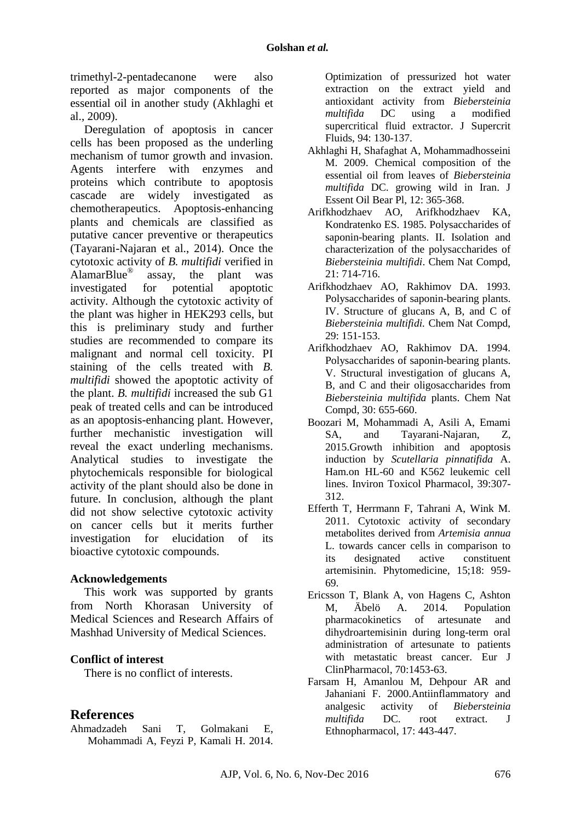trimethyl-2-pentadecanone were also reported as major components of the essential oil in another study (Akhlaghi et al., 2009).

Deregulation of apoptosis in cancer cells has been proposed as the underling mechanism of tumor growth and invasion. Agents interfere with enzymes and proteins which contribute to apoptosis cascade are widely investigated as chemotherapeutics. Apoptosis-enhancing plants and chemicals are classified as putative cancer preventive or therapeutics (Tayarani-Najaran et al., 2014). Once the cytotoxic activity of *B. multifidi* verified in AlamarBlue® assay, the plant was investigated for potential apoptotic activity. Although the cytotoxic activity of the plant was higher in HEK293 cells, but this is preliminary study and further studies are recommended to compare its malignant and normal cell toxicity. PI staining of the cells treated with *B. multifidi* showed the apoptotic activity of the plant. *B. multifidi* increased the sub G1 peak of treated cells and can be introduced as an apoptosis-enhancing plant. However, further mechanistic investigation will reveal the exact underling mechanisms. Analytical studies to investigate the phytochemicals responsible for biological activity of the plant should also be done in future. In conclusion, although the plant did not show selective cytotoxic activity on cancer cells but it merits further investigation for elucidation of its bioactive cytotoxic compounds.

#### **Acknowledgements**

This work was supported by grants from North Khorasan University of Medical Sciences and Research Affairs of Mashhad University of Medical Sciences.

## **Conflict of interest**

There is no conflict of interests.

# **References**

Ahmadzadeh Sani T, Golmakani E, Mohammadi A, Feyzi P, Kamali H. 2014. Optimization of pressurized hot water extraction on the extract yield and antioxidant activity from *Biebersteinia multifida* DC using a modified supercritical fluid extractor. J Supercrit Fluids, 94: 130-137.

- Akhlaghi H, Shafaghat A, Mohammadhosseini M. 2009. Chemical composition of the essential oil from leaves of *Biebersteinia multifida* DC. growing wild in Iran. J Essent Oil Bear Pl, 12: 365-368.
- Arifkhodzhaev AO, Arifkhodzhaev KA, Kondratenko ES. 1985. Polysaccharides of saponin-bearing plants. II. Isolation and characterization of the polysaccharides of *Biebersteinia multifidi*. Chem Nat Compd, 21: 714-716.
- Arifkhodzhaev AO, Rakhimov DA. 1993. Polysaccharides of saponin-bearing plants. IV. Structure of glucans A, B, and C of *Biebersteinia multifidi.* Chem Nat Compd, 29: 151-153.
- Arifkhodzhaev AO, Rakhimov DA. 1994. Polysaccharides of saponin-bearing plants. V. Structural investigation of glucans A, B, and C and their oligosaccharides from *Biebersteinia multifida* plants. Chem Nat Compd, 30: 655-660.
- Boozari M, Mohammadi A, Asili A, Emami SA, and Tayarani-Najaran, Z, 2015.Growth inhibition and apoptosis induction by *Scutellaria pinnatifida* A. Ham.on HL-60 and K562 leukemic cell lines. Inviron Toxicol Pharmacol, 39:307- 312.
- Efferth T, Herrmann F, Tahrani A, Wink M. 2011. Cytotoxic activity of secondary metabolites derived from *Artemisia annua* L. towards cancer cells in comparison to its designated active constituent artemisinin. Phytomedicine, 15;18: 959- 69.
- Ericsson T, Blank A, von Hagens C, Ashton M, Äbelö A. 2014. Population pharmacokinetics of artesunate and dihydroartemisinin during long-term oral administration of artesunate to patients with metastatic breast cancer. Eur J ClinPharmacol, 70:1453-63.
- Farsam H, Amanlou M, Dehpour AR and Jahaniani F. 2000.Antiinflammatory and analgesic activity of *Biebersteinia multifida* DC. root extract. J Ethnopharmacol, 17: 443-447.